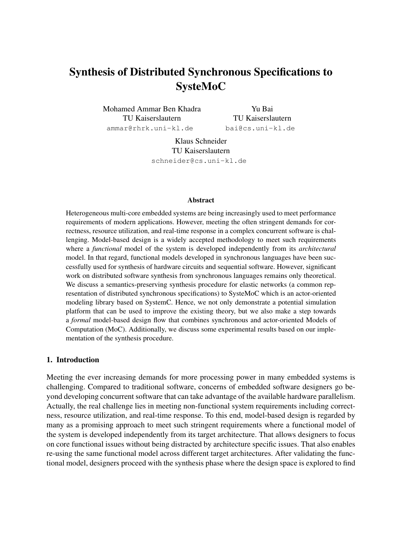# Synthesis of Distributed Synchronous Specifications to SysteMoC

Mohamed Ammar Ben Khadra TU Kaiserslautern <ammar@rhrk.uni-kl.de>

Yu Bai TU Kaiserslautern <bai@cs.uni-kl.de>

Klaus Schneider TU Kaiserslautern <schneider@cs.uni-kl.de>

#### Abstract

Heterogeneous multi-core embedded systems are being increasingly used to meet performance requirements of modern applications. However, meeting the often stringent demands for correctness, resource utilization, and real-time response in a complex concurrent software is challenging. Model-based design is a widely accepted methodology to meet such requirements where a *functional* model of the system is developed independently from its *architectural* model. In that regard, functional models developed in synchronous languages have been successfully used for synthesis of hardware circuits and sequential software. However, significant work on distributed software synthesis from synchronous languages remains only theoretical. We discuss a semantics-preserving synthesis procedure for elastic networks (a common representation of distributed synchronous specifications) to SysteMoC which is an actor-oriented modeling library based on SystemC. Hence, we not only demonstrate a potential simulation platform that can be used to improve the existing theory, but we also make a step towards a *formal* model-based design flow that combines synchronous and actor-oriented Models of Computation (MoC). Additionally, we discuss some experimental results based on our implementation of the synthesis procedure.

### 1. Introduction

Meeting the ever increasing demands for more processing power in many embedded systems is challenging. Compared to traditional software, concerns of embedded software designers go beyond developing concurrent software that can take advantage of the available hardware parallelism. Actually, the real challenge lies in meeting non-functional system requirements including correctness, resource utilization, and real-time response. To this end, model-based design is regarded by many as a promising approach to meet such stringent requirements where a functional model of the system is developed independently from its target architecture. That allows designers to focus on core functional issues without being distracted by architecture specific issues. That also enables re-using the same functional model across different target architectures. After validating the functional model, designers proceed with the synthesis phase where the design space is explored to find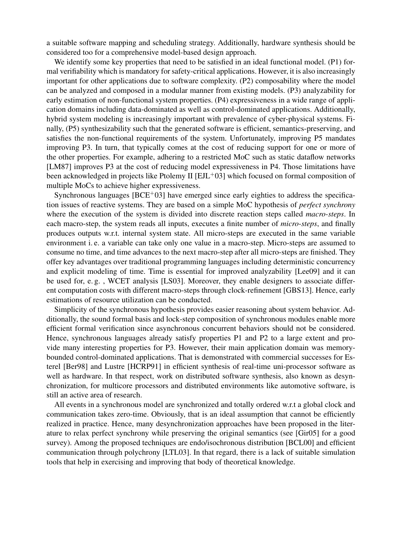a suitable software mapping and scheduling strategy. Additionally, hardware synthesis should be considered too for a comprehensive model-based design approach.

We identify some key properties that need to be satisfied in an ideal functional model. (P1) formal verifiability which is mandatory for safety-critical applications. However, it is also increasingly important for other applications due to software complexity. (P2) composability where the model can be analyzed and composed in a modular manner from existing models. (P3) analyzability for early estimation of non-functional system properties. (P4) expressiveness in a wide range of application domains including data-dominated as well as control-dominated applications. Additionally, hybrid system modeling is increasingly important with prevalence of cyber-physical systems. Finally, (P5) synthesizability such that the generated software is efficient, semantics-preserving, and satisfies the non-functional requirements of the system. Unfortunately, improving P5 mandates improving P3. In turn, that typically comes at the cost of reducing support for one or more of the other properties. For example, adhering to a restricted MoC such as static dataflow networks [\[LM87\]](#page-10-0) improves P3 at the cost of reducing model expressiveness in P4. Those limitations have been acknowledged in projects like Ptolemy II [\[EJL](#page-10-1)+03] which focused on formal composition of multiple MoCs to achieve higher expressiveness.

Synchronous languages  $[BCE^+03]$  $[BCE^+03]$  have emerged since early eighties to address the specification issues of reactive systems. They are based on a simple MoC hypothesis of *perfect synchrony* where the execution of the system is divided into discrete reaction steps called *macro-steps*. In each macro-step, the system reads all inputs, executes a finite number of *micro-steps*, and finally produces outputs w.r.t. internal system state. All micro-steps are executed in the same variable environment i. e. a variable can take only one value in a macro-step. Micro-steps are assumed to consume no time, and time advances to the next macro-step after all micro-steps are finished. They offer key advantages over traditional programming languages including deterministic concurrency and explicit modeling of time. Time is essential for improved analyzability [\[Lee09\]](#page-10-2) and it can be used for, e. g. , WCET analysis [\[LS03\]](#page-10-3). Moreover, they enable designers to associate different computation costs with different macro-steps through clock-refinement [\[GBS13\]](#page-10-4). Hence, early estimations of resource utilization can be conducted.

Simplicity of the synchronous hypothesis provides easier reasoning about system behavior. Additionally, the sound formal basis and lock-step composition of synchronous modules enable more efficient formal verification since asynchronous concurrent behaviors should not be considered. Hence, synchronous languages already satisfy properties P1 and P2 to a large extent and provide many interesting properties for P3. However, their main application domain was memorybounded control-dominated applications. That is demonstrated with commercial successes for Esterel [\[Ber98\]](#page-9-1) and Lustre [\[HCRP91\]](#page-10-5) in efficient synthesis of real-time uni-processor software as well as hardware. In that respect, work on distributed software synthesis, also known as desynchronization, for multicore processors and distributed environments like automotive software, is still an active area of research.

All events in a synchronous model are synchronized and totally ordered w.r.t a global clock and communication takes zero-time. Obviously, that is an ideal assumption that cannot be efficiently realized in practice. Hence, many desynchronization approaches have been proposed in the literature to relax perfect synchrony while preserving the original semantics (see [\[Gir05\]](#page-10-6) for a good survey). Among the proposed techniques are endo/isochronous distribution [\[BCL00\]](#page-9-2) and efficient communication through polychrony [\[LTL03\]](#page-10-7). In that regard, there is a lack of suitable simulation tools that help in exercising and improving that body of theoretical knowledge.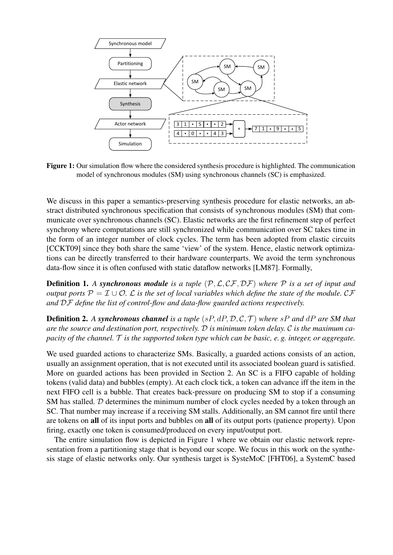<span id="page-2-0"></span>

Figure 1: Our simulation flow where the considered synthesis procedure is highlighted. The communication model of synchronous modules (SM) using synchronous channels (SC) is emphasized.

We discuss in this paper a semantics-preserving synthesis procedure for elastic networks, an abstract distributed synchronous specification that consists of synchronous modules (SM) that communicate over synchronous channels (SC). Elastic networks are the first refinement step of perfect synchrony where computations are still synchronized while communication over SC takes time in the form of an integer number of clock cycles. The term has been adopted from elastic circuits [\[CCKT09\]](#page-10-8) since they both share the same 'view' of the system. Hence, elastic network optimizations can be directly transferred to their hardware counterparts. We avoid the term synchronous data-flow since it is often confused with static dataflow networks [\[LM87\]](#page-10-0). Formally,

**Definition 1.** A synchronous module is a tuple  $(\mathcal{P}, \mathcal{L}, \mathcal{CF}, \mathcal{DF})$  where  $\mathcal P$  is a set of input and *output ports*  $\mathcal{P} = \mathcal{I} \cup \mathcal{O}$ .  $\mathcal{L}$  *is the set of local variables which define the state of the module.*  $\mathcal{C}\mathcal{F}$ *and* DF *define the list of control-flow and data-flow guarded actions respectively.*

Definition 2. *A synchronous channel is a tuple* (sP, dP, D, C, T ) *where* sP *and* dP *are SM that are the source and destination port, respectively.* D *is minimum token delay.* C *is the maximum capacity of the channel.* T *is the supported token type which can be basic, e. g. integer, or aggregate.*

We used guarded actions to characterize SMs. Basically, a guarded actions consists of an action, usually an assignment operation, that is not executed until its associated boolean guard is satisfied. More on guarded actions has been provided in Section [2.](#page-3-0) An SC is a FIFO capable of holding tokens (valid data) and bubbles (empty). At each clock tick, a token can advance iff the item in the next FIFO cell is a bubble. That creates back-pressure on producing SM to stop if a consuming SM has stalled. D determines the minimum number of clock cycles needed by a token through an SC. That number may increase if a receiving SM stalls. Additionally, an SM cannot fire until there are tokens on all of its input ports and bubbles on all of its output ports (patience property). Upon firing, exactly one token is consumed/produced on every input/output port.

The entire simulation flow is depicted in Figure [1](#page-2-0) where we obtain our elastic network representation from a partitioning stage that is beyond our scope. We focus in this work on the synthesis stage of elastic networks only. Our synthesis target is SysteMoC [\[FHT06\]](#page-10-9), a SystemC based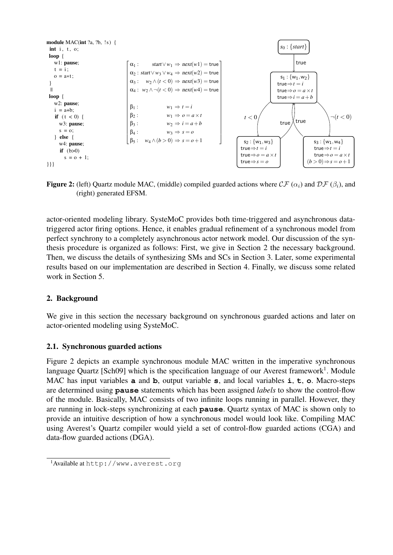<span id="page-3-1"></span>

**Figure 2:** (left) Quartz module MAC, (middle) compiled guarded actions where  $CF(\alpha_i)$  and  $DF(\beta_i)$ , and Figure 4: (a) Quartz module MAC, (b) its guarded actions consisting of CGAs(α*i*) and DGAs (β*i*), and (c) generated EFSM. (right) generated EFSM.

actor-oriented modeling library. SysteMoC provides both time-triggered and asynchronous data-1.1. Synchronous model from *guardanies* or *a* synchronous model from the *guardial* refinement of a synchronous model from perfect synchrony to a completely asynchronous actor network model. Our discussion of the syn- $\frac{1}{\sqrt{1-\frac{1}{\sqrt{1-\frac{1}{\sqrt{1-\frac{1}{\sqrt{1-\frac{1}{\sqrt{1-\frac{1}{\sqrt{1-\frac{1}{\sqrt{1-\frac{1}{\sqrt{1-\frac{1}{\sqrt{1-\frac{1}{\sqrt{1-\frac{1}{\sqrt{1-\frac{1}{\sqrt{1-\frac{1}{\sqrt{1-\frac{1}{\sqrt{1-\frac{1}{\sqrt{1-\frac{1}{\sqrt{1-\frac{1}{\sqrt{1-\frac{1}{\sqrt{1-\frac{1}{\sqrt{1-\frac{1}{\sqrt{1-\frac{1}{\sqrt{1-\frac{1}{\sqrt{1-\frac{1}{\sqrt{1-\frac{1}{\sqrt{1-\frac{1$ thesis procedure is organized as follows: First, we give in Section [2](#page-3-0) the necessary background. Then, we discuss the details of synthesizing SMs and SCs in Section [3.](#page-5-0) Later, some experimental on a simple Model of Computation (Model of *pyranesizing* bins and best in because *s*. Each, some experimental results based on our implementation are described in Section 4. Finally, we discuss some related work in Section [5.](#page-8-1) into discrete reaction steps called *macro-steps*. In each macrotriggered actor firing options. Hence, it enables gradual refinement of a synchronous model from<br>the state and has not a second the consideration of a synchronous determines of the con-results based on our implementation are described in Section [4.](#page-8-0) Finally, we discuss some related

#### <span id="page-3-0"></span>2. Background executed in the same variable environment i. e. a variable can

take a only one value in a macro-step. Micro-steps are as-We give in this section the necessary background on synchronous guarded actions and later on actor-oriented modeling using SysteMoC. We give in this section the necessary background on synchronous guarded actions and later on

# 2.1. Synchronous guarded actions

synchronous hypothesis enables easier reasoning about sys-

 $\mathbf{F}^{\prime}$  and  $\mathbf{A}^{\prime}$  depicts our example  $\mathbf{A}^{\prime}$ **Eigure 2 depicts an example synchronous inc** language Quartz [\[Sch09\]](#page-10-10) which is the specification language of our Averest framework<sup>1</sup>. Module MAC has input variables a and b, output variable s, and local variables i, t, o. Macro-steps  $\frac{1}{\sqrt{1-\frac{1}{\sqrt{1-\frac{1}{\sqrt{1-\frac{1}{\sqrt{1-\frac{1}{\sqrt{1-\frac{1}{\sqrt{1-\frac{1}{\sqrt{1-\frac{1}{\sqrt{1-\frac{1}{\sqrt{1-\frac{1}{\sqrt{1-\frac{1}{\sqrt{1-\frac{1}{\sqrt{1-\frac{1}{\sqrt{1-\frac{1}{\sqrt{1-\frac{1}{\sqrt{1-\frac{1}{\sqrt{1-\frac{1}{\sqrt{1-\frac{1}{\sqrt{1-\frac{1}{\sqrt{1-\frac{1}{\sqrt{1-\frac{1}{\sqrt{1-\frac{1}{\sqrt{1-\frac{1}{\sqrt{1-\frac{1}{\sqrt{1-\frac{1$ are determined using **pause** statements which of the module. Basically, MAC consists of two infinite loops running in parallel. However, they are running in lock-steps synchronizing at each **pause**. Quartz syntax of MAC is shown only to  $\frac{c}{\sqrt{1-\frac{c}{c}}}$ provide an intentive description of now a sym machine that has a single state with all DGAs attached to Figure [2](#page-3-1) depicts an example synchronous module MAC written in the imperative synchronous  $r_{\rm r}$  resentation (in terms of  $\overline{t}$  the system by only only  $\overline{t}$  and  $\overline{t}$  and  $\overline{t}$  and  $\overline{t}$  and  $\overline{t}$  and  $\overline{t}$  and  $\overline{t}$  and  $\overline{t}$  and  $\overline{t}$  and  $\overline{t}$  and  $\overline{t}$  and  $\overline{t}$  an are determined using **pause** statements which has been assigned *labels* to show the control-flow  $\frac{1}{2}$ provide an intuitive description of how a synchronous model would look like. Compiling MAC using Averest's Quartz compiler would yield a set of control-flow guarded actions (CGA) and data-flow guarded actions (DGA).

<span id="page-3-2"></span><sup>1</sup>Available at <http://www.averest.org>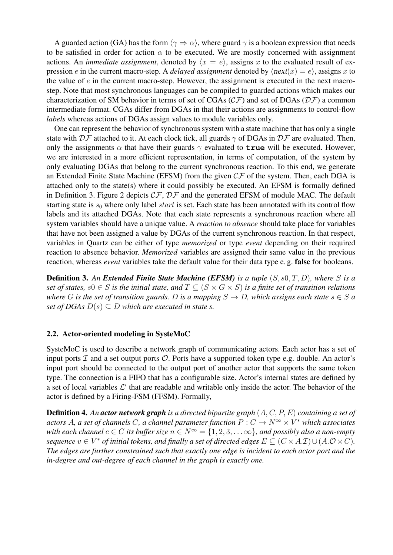A guarded action (GA) has the form  $\langle \gamma \Rightarrow \alpha \rangle$ , where guard  $\gamma$  is a boolean expression that needs to be satisfied in order for action  $\alpha$  to be executed. We are mostly concerned with assignment actions. An *immediate assignment*, denoted by  $\langle x = e \rangle$ , assigns x to the evaluated result of expression e in the current macro-step. A *delayed assignment* denoted by  $\langle \text{next}(x) = e \rangle$ , assigns x to the value of  $e$  in the current macro-step. However, the assignment is executed in the next macrostep. Note that most synchronous languages can be compiled to guarded actions which makes our characterization of SM behavior in terms of set of CGAs ( $\mathcal{CF}$ ) and set of DGAs ( $\mathcal{DF}$ ) a common intermediate format. CGAs differ from DGAs in that their actions are assignments to control-flow *labels* whereas actions of DGAs assign values to module variables only.

One can represent the behavior of synchronous system with a state machine that has only a single state with  $\mathcal{D}F$  attached to it. At each clock tick, all guards  $\gamma$  of DGAs in  $\mathcal{D}F$  are evaluated. Then, only the assignments  $\alpha$  that have their guards  $\gamma$  evaluated to **true** will be executed. However, we are interested in a more efficient representation, in terms of computation, of the system by only evaluating DGAs that belong to the current synchronous reaction. To this end, we generate an Extended Finite State Machine (EFSM) from the given  $\mathcal{CF}$  of the system. Then, each DGA is attached only to the state(s) where it could possibly be executed. An EFSM is formally defined in Definition [3.](#page-4-0) Figure [2](#page-3-1) depicts  $\mathcal{CF}, \mathcal{DF}$  and the generated EFSM of module MAC. The default starting state is  $s_0$  where only label *start* is set. Each state has been annotated with its control flow labels and its attached DGAs. Note that each state represents a synchronous reaction where all system variables should have a unique value. A *reaction to absence* should take place for variables that have not been assigned a value by DGAs of the current synchronous reaction. In that respect, variables in Quartz can be either of type *memorized* or type *event* depending on their required reaction to absence behavior. *Memorized* variables are assigned their same value in the previous reaction, whereas *event* variables take the default value for their data type e. g. false for booleans.

<span id="page-4-0"></span>Definition 3. *An Extended Finite State Machine (EFSM) is a tuple* (S, s0, T, D)*, where* S *is a set of states,*  $s0 \in S$  *is the initial state, and*  $T \subset (S \times G \times S)$  *is a finite set of transition relations where* G is the set of transition guards. D is a mapping  $S \to D$ , which assigns each state  $s \in S$  a *set of DGAs*  $D(s) \subseteq D$  *which are executed in state s.* 

### 2.2. Actor-oriented modeling in SysteMoC

SysteMoC is used to describe a network graph of communicating actors. Each actor has a set of input ports  $\mathcal I$  and a set output ports  $\mathcal O$ . Ports have a supported token type e.g. double. An actor's input port should be connected to the output port of another actor that supports the same token type. The connection is a FIFO that has a configurable size. Actor's internal states are defined by a set of local variables  $\mathcal{L}'$  that are readable and writable only inside the actor. The behavior of the actor is defined by a Firing-FSM (FFSM). Formally,

Definition 4. *An actor network graph is a directed bipartite graph* (A, C, P, E) *containing a set of* actors A, a set of channels C, a channel parameter function  $P: C \to N^\infty \times V^*$  which associates *with each channel*  $c \in C$  *its buffer size*  $n \in N^{\infty} = \{1, 2, 3, \dots \infty\}$ *, and possibly also a non-empty sequence*  $v \in V^*$  *of initial tokens, and finally a set of directed edges*  $E \subseteq (C \times A_\cdot \mathcal{I}) \cup (A_\cdot \mathcal{O} \times C)$ . *The edges are further constrained such that exactly one edge is incident to each actor port and the in-degree and out-degree of each channel in the graph is exactly one.*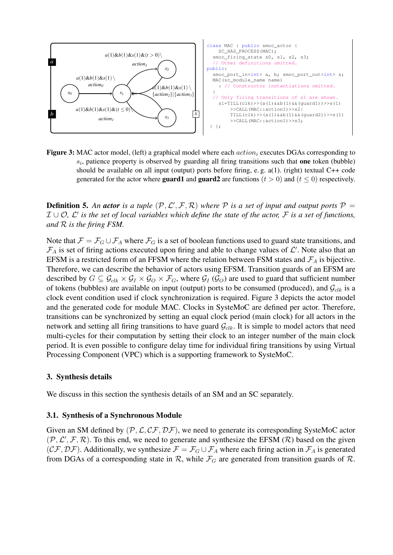<span id="page-5-1"></span>

Figure 3: MAC actor model, (left) a graphical model where each  $action_i$  executes DGAs corresponding to  $s_i$ , patience property is observed by guarding all firing transitions such that one token (bubble) generated for the actor where **guard1** and **guard2** are functions ( $t > 0$ ) and ( $t \le 0$ ) respectively. attached DGAs.  $\mathcal{L} = \mathcal{L} \times \mathcal{L}$  first of first are described by  $\mathcal{L} = \mathcal{L} \times \mathcal{L}$ should be available on all input (output) ports before firing, e.g.  $a(1)$ . (right) textual C++ code

**Definition 5** An actor is a tuple  $(D, C^{\prime})$  $\sum_{i=1}^{\infty}$  at the work is used  $\sum_{i=1}^{\infty}$ ,  $\sum_{i=1}^{\infty}$  $\mathcal{I} \cup \mathcal{O}$ ,  $\mathcal{L}'$  is the set of local variables which define the state of the actor,  $\mathcal{F}$  is a set of functions, and R is the firing FSM.  $\mathbf{t}$  sufficient number of tokens (bubbles) are available on  $\mathbf{t}$ **Definition 5.** An **actor** is a tuple  $(P, \mathcal{L}', \mathcal{F}, \mathcal{R})$  where  $P$  is a set of input and output ports  $P =$ 

Note that  $\mathcal{F} = \mathcal{F}_{\alpha} \cup \mathcal{F}_{\alpha}$  where  $\mathcal{F}_{\alpha}$  is a set of boolean functions used to guard state transitions, and  $\tau$  is set of firing estions executed upon firing  $\mathcal{F}_A$  is set of firing actions executed upon firing and able to change values of  $\mathcal{L}'$ . Note also that an EFSM is a restricted form of an FFSM where the relation between FSM states and  $\mathcal{F}_A$  is bijective. Therefore, we can describe the behavior of actors using EFSM. Transition guards of an EFSM are described by  $G \subseteq \mathcal{G}_{clk} \times \mathcal{G}_I \times \mathcal{G}_O \times \mathcal{F}_G$ , where  $\mathcal{G}_I(\mathcal{G}_O)$  are used to guard that sufficient number of tokens (bubbles) are available on input (output) ports to be consumed (produced), and  $\mathcal{G}_{clk}$  is a clock event condition used if clock synchronization is required. Figure [3](#page-5-1) depicts the actor model which associates with the contract of *code* for module MAC. Clo and the generated code for module MAC. Clocks in SysteMoC are defined per actor. Therefore, *quence via the measure the measure the collinear system to generate* per action interesting transitions can be synchronized by setting an equal clock period (main clock) for all actors in the network and setting all firing transitions to have guard  $\mathcal{G}_{clk}$ . It is simple to model actors that need *straint such that exactly one edge is incident to each actor* multi-cycles for their computation by setting their clock to an integer number of the main clock *f* period. It is even possible to configure delay time for individual firing transitions by using Virtua Processing Component (VPC) which is a supporting framework to SysteMoC. Note that  $\mathcal{F} = \mathcal{F}_G \cup \mathcal{F}_A$  where  $\mathcal{F}_G$  is a set of boolean functions used to guard state transitions, and Therefore, we can describe the behavior of actors using EFSM. Transition guards of an EFSM are transitions can be synchronized by setting an equal clock period (main clock) for all actors in the period. It is even possible to configure delay time for individual firing transitions by using Virtual

#### <span id="page-5-0"></span>*variables which define the state of the actor. F is a set of* 3. Synthesis details

We discuss in this section the synthesis details of an SM and an SC separately. tions used to guard firing transitions, and *F<sup>A</sup>* is set of firing from this work due to the lack of space. We refer the inter-

#### 3.1. Synthesis of a Synchronous Module of a FFSM where the relation between FSM states and *F<sup>A</sup>*

Given an SM defined by  $(P, \mathcal{L}, C\mathcal{F}, \mathcal{DF})$ , we need to generate its corresponding SysteMoC actor  $(\mathcal{P}, \mathcal{L}', \mathcal{F}, \mathcal{R})$ . To this end, we need to generate and synthesize the EFSM ( $\mathcal{R}$ ) based on the given  $(C\mathcal{F}, \mathcal{DF})$ . Additionally, we synthesize  $\mathcal{F} = \mathcal{F}_G \cup \mathcal{F}_A$  where each firing action in  $\mathcal{F}_A$  is generated from DGAs of a corresponding state in  $\mathcal{R}$ , while  $\mathcal{F}_G$  are generated from transition guards of  $\mathcal{R}$ .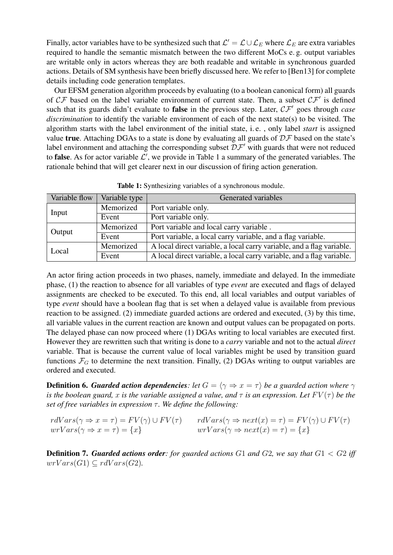Finally, actor variables have to be synthesized such that  $\mathcal{L}' = \mathcal{L} \cup \mathcal{L}_E$  where  $\mathcal{L}_E$  are extra variables required to handle the semantic mismatch between the two different MoCs e. g. output variables are writable only in actors whereas they are both readable and writable in synchronous guarded actions. Details of SM synthesis have been briefly discussed here. We refer to [\[Ben13\]](#page-9-3) for complete details including code generation templates.

Our EFSM generation algorithm proceeds by evaluating (to a boolean canonical form) all guards of  $CF$  based on the label variable environment of current state. Then, a subset  $CF'$  is defined such that its guards didn't evaluate to **false** in the previous step. Later,  $\mathcal{CF}'$  goes through *case discrimination* to identify the variable environment of each of the next state(s) to be visited. The algorithm starts with the label environment of the initial state, i. e. , only label *start* is assigned value true. Attaching DGAs to a state is done by evaluating all guards of  $DF$  based on the state's label environment and attaching the corresponding subset  $D\mathcal{F}'$  with guards that were not reduced to **false**. As for actor variable  $\mathcal{L}'$ , we provide in Table [1](#page-6-0) a summary of the generated variables. The rationale behind that will get clearer next in our discussion of firing action generation.

<span id="page-6-0"></span>

| Variable flow | Variable type | Generated variables                                                   |  |
|---------------|---------------|-----------------------------------------------------------------------|--|
| Input         | Memorized     | Port variable only.                                                   |  |
|               | Event         | Port variable only.                                                   |  |
| Output        | Memorized     | Port variable and local carry variable.                               |  |
|               | Event         | Port variable, a local carry variable, and a flag variable.           |  |
| Local         | Memorized     | A local direct variable, a local carry variable, and a flag variable. |  |
|               | Event         | A local direct variable, a local carry variable, and a flag variable. |  |

Table 1: Synthesizing variables of a synchronous module.

An actor firing action proceeds in two phases, namely, immediate and delayed. In the immediate phase, (1) the reaction to absence for all variables of type *event* are executed and flags of delayed assignments are checked to be executed. To this end, all local variables and output variables of type *event* should have a boolean flag that is set when a delayed value is available from previous reaction to be assigned. (2) immediate guarded actions are ordered and executed, (3) by this time, all variable values in the current reaction are known and output values can be propagated on ports. The delayed phase can now proceed where (1) DGAs writing to local variables are executed first. However they are rewritten such that writing is done to a *carry* variable and not to the actual *direct* variable. That is because the current value of local variables might be used by transition guard functions  $\mathcal{F}_G$  to determine the next transition. Finally, (2) DGAs writing to output variables are ordered and executed.

<span id="page-6-1"></span>**Definition 6.** *Guarded action dependencies*: let  $G = \langle \gamma \Rightarrow x = \tau \rangle$  be a guarded action where  $\gamma$ *is the boolean guard,* x *is the variable assigned a value, and*  $\tau$  *is an expression. Let*  $FV(\tau)$  *be the set of free variables in expression*  $τ$ *. We define the following:* 

| $rdVars(\gamma \Rightarrow x = \tau) = FV(\gamma) \cup FV(\tau)$ | $rdVars(\gamma \Rightarrow next(x) = \tau) = FV(\gamma) \cup FV(\tau)$ |
|------------------------------------------------------------------|------------------------------------------------------------------------|
| $wrVars(\gamma \Rightarrow x = \tau) = \{x\}$                    | $wrVars(\gamma \Rightarrow next(x) = \tau) = \{x\}$                    |

<span id="page-6-2"></span>Definition 7. *Guarded actions order: for guarded actions* G1 *and* G2*, we say that* G1 < G2 *iff*  $wrVars(G1) \subset rdVars(G2)$ .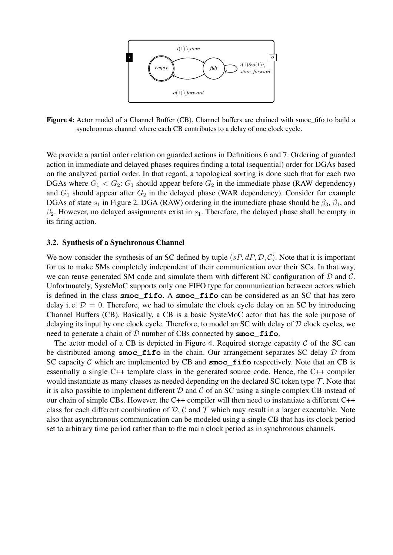<span id="page-7-0"></span>

Figure 4: Actor model of a Channel Buffer (CB). Channel buffers are chained with smoc\_fifo to build a  $C$  $S<sub>f</sub>$  netrol to the particle synchronous channel where each CB contributes to a delay of one clock cycle.

We provide a partial order relation on guarded actions in Definitions [6](#page-6-1) and [7.](#page-6-2) Ordering of guarded action in immediate and delayed phases requires finding a total (sequential) order for DGAs based  $\alpha$  the conclused social system is that seemed a traditional synchronously semantics. and  $G_1$  should appear after  $G_2$  in the delayed phase (WAR dependency). Consider for example DGAs of state  $s_1$  in Figure [2.](#page-3-1) DGA (RAW) ordering in the immediate phase should be  $\beta_3$ ,  $\beta_1$ , and  $\beta_2$ . However, no delayed assignments exist in  $s_1$ . Therefore, the delayed phase shall be empty in on the analyzed partial order. In that regard, a topological sorting is done such that for each two DGAs where  $G_1 < G_2$ :  $G_1$  should appear before  $G_2$  in the immediate phase (RAW dependency) its firing action.

#### 3.2. Synthesis of a Synchronous Channel FIFO can be formally defined by (*sP*,*dP*,*D*,*C*) where *D* = 0.

we can reuse generated SM code and simulate them with different SC configuration of  $D$  and  $C$ . is defined in the class **smoc\_fifo**. A **smoc\_fifo** can be considered as an SC that has zero  $\mathbf{L} \mathbf{L} = \mathbf{L} \mathbf{R} \mathbf{R}$ quire  $\alpha$  and  $\beta$  and  $\beta$ Channel Buffers (CB). Basically, a CB is a basic SysteMoC actor that has the sole purpose of delaying its input by one clock cycle. Therefore, to model an SC with delay of  $D$  clock cycles, we  $\frac{1}{\sqrt{2}}$ include to generate a cine We now consider the synthesis of an SC defined by tuple  $(sP, dP, \mathcal{D}, \mathcal{C})$ . Note that it is important  $\frac{1}{\sqrt{1-\frac{1}{\sqrt{1-\frac{1}{\sqrt{1-\frac{1}{\sqrt{1-\frac{1}{\sqrt{1-\frac{1}{\sqrt{1-\frac{1}{\sqrt{1-\frac{1}{\sqrt{1-\frac{1}{\sqrt{1-\frac{1}{\sqrt{1-\frac{1}{\sqrt{1-\frac{1}{\sqrt{1-\frac{1}{\sqrt{1-\frac{1}{\sqrt{1-\frac{1}{\sqrt{1-\frac{1}{\sqrt{1-\frac{1}{\sqrt{1-\frac{1}{\sqrt{1-\frac{1}{\sqrt{1-\frac{1}{\sqrt{1-\frac{1}{\sqrt{1-\frac{1}{\sqrt{1-\frac{1}{\sqrt{1-\frac{1}{\sqrt{1-\frac{1$ for us to make SMs completely independent of their communication over their SCs. In that way, Unfortunately, SysteMoC supports only one FIFO type for communication between actors which  $T_{\text{S}}$  is interesting the FIFOs connection of  $T_{\text{S}}$ delay i. e.  $D = 0$ . Therefore, we had to simulate the clock cycle delay on an SC by introducing  $\mathfrak{sof}$  number of  $\mathfrak{CD}$  connected by  $\mathfrak{su}_{2}$   $\mathfrak{so}_{n}$   $\mathfrak{so}_{n}$ need to generate a chain of  $D$  number of CBs connected by  $\mathsf{smoc\_fib}$ .

The actor model of a CB is depicted in Figure [4.](#page-7-0) Required storage capacity  $C$  of the SC can be distributed among **smoc\_fifo** in the chain. Our arrangement separates SC delay D from SC capacity C which are implemented by CB and  $\mathsf{smoc\_fib}$  respectively. Note that an CB is  $\alpha$  required which satisfy static power.  $\epsilon$ ssentiatly a single  $\epsilon$ would instantiate as many classes as needed depending on the declared SC token type  $\mathcal T$ . Note that it is also possible to implement different  $D$  and  $C$  of an SC using a single complex CB instead of  $p_{\text{even}}$  are the power of cimple  $C$  $\frac{1}{2}$  budget is determined the progression of progression the progression of progression  $\frac{1}{2}$ class for each different combination of D, C and T which may result in a larger executable. Note also that asynchronous communication can be modeled using a single CB that has its clock period set to arbitrary time period rather than to the main clock period as in synchronous channels.  $\frac{1}{2}$ ever, EB and  $\frac{1}{2}$ essentially a single C++ template class in the generated source code. Hence, the C++ compiler  $\frac{1}{2}$  at the  $\frac{1}{2}$ . The compiler will then need to  $\frac{1}{2}$ . our chain of simple CBs. However, the C++ compiler will then need to instantiate a different C++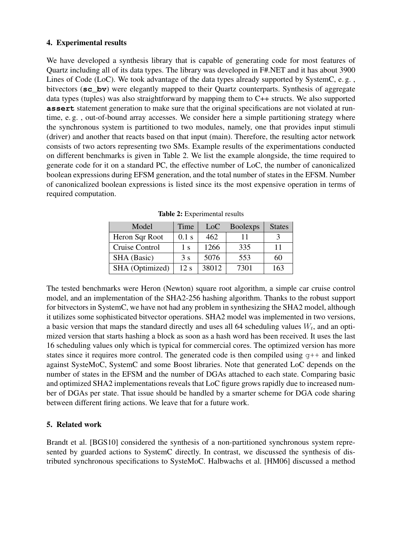### <span id="page-8-0"></span>4. Experimental results

We have developed a synthesis library that is capable of generating code for most features of Quartz including all of its data types. The library was developed in F#.NET and it has about 3900 Lines of Code (LoC). We took advantage of the data types already supported by SystemC, e. g. , bitvectors (**sc\_bv**) were elegantly mapped to their Quartz counterparts. Synthesis of aggregate data types (tuples) was also straightforward by mapping them to C++ structs. We also supported **assert** statement generation to make sure that the original specifications are not violated at runtime, e. g. , out-of-bound array accesses. We consider here a simple partitioning strategy where the synchronous system is partitioned to two modules, namely, one that provides input stimuli (driver) and another that reacts based on that input (main). Therefore, the resulting actor network consists of two actors representing two SMs. Example results of the experimentations conducted on different benchmarks is given in Table [2.](#page-8-2) We list the example alongside, the time required to generate code for it on a standard PC, the effective number of LoC, the number of canonicalized boolean expressions during EFSM generation, and the total number of states in the EFSM. Number of canonicalized boolean expressions is listed since its the most expensive operation in terms of required computation.

<span id="page-8-2"></span>

| Model           | Time    | L <sub>o</sub> C | <b>Boolexps</b> | <b>States</b> |
|-----------------|---------|------------------|-----------------|---------------|
| Heron Sqr Root  | $0.1$ s | 462              |                 |               |
| Cruise Control  | 1 s     | 1266             | 335             | 11            |
| SHA (Basic)     | 3s      | 5076             | 553             | 60            |
| SHA (Optimized) | 12 s    | 38012            | 7301            | 163           |

Table 2: Experimental results

The tested benchmarks were Heron (Newton) square root algorithm, a simple car cruise control model, and an implementation of the SHA2-256 hashing algorithm. Thanks to the robust support for bitvectors in SystemC, we have not had any problem in synthesizing the SHA2 model, although it utilizes some sophisticated bitvector operations. SHA2 model was implemented in two versions, a basic version that maps the standard directly and uses all 64 scheduling values  $W_t$ , and an optimized version that starts hashing a block as soon as a hash word has been received. It uses the last 16 scheduling values only which is typical for commercial cores. The optimized version has more states since it requires more control. The generated code is then compiled using  $g++$  and linked against SysteMoC, SystemC and some Boost libraries. Note that generated LoC depends on the number of states in the EFSM and the number of DGAs attached to each state. Comparing basic and optimized SHA2 implementations reveals that LoC figure grows rapidly due to increased number of DGAs per state. That issue should be handled by a smarter scheme for DGA code sharing between different firing actions. We leave that for a future work.

# <span id="page-8-1"></span>5. Related work

Brandt et al. [\[BGS10\]](#page-10-11) considered the synthesis of a non-partitioned synchronous system represented by guarded actions to SystemC directly. In contrast, we discussed the synthesis of distributed synchronous specifications to SysteMoC. Halbwachs et al. [\[HM06\]](#page-10-12) discussed a method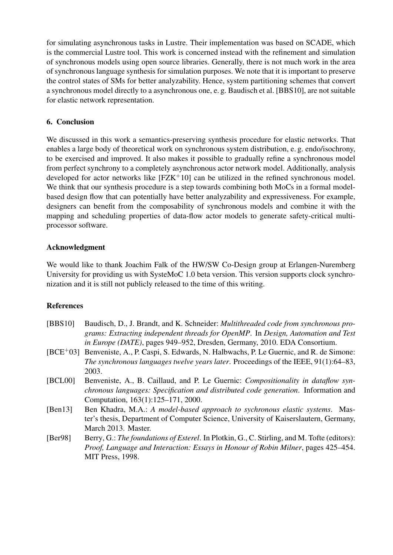for simulating asynchronous tasks in Lustre. Their implementation was based on SCADE, which is the commercial Lustre tool. This work is concerned instead with the refinement and simulation of synchronous models using open source libraries. Generally, there is not much work in the area of synchronous language synthesis for simulation purposes. We note that it is important to preserve the control states of SMs for better analyzability. Hence, system partitioning schemes that convert a synchronous model directly to a asynchronous one, e. g. Baudisch et al. [\[BBS10\]](#page-9-4), are not suitable for elastic network representation.

## 6. Conclusion

We discussed in this work a semantics-preserving synthesis procedure for elastic networks. That enables a large body of theoretical work on synchronous system distribution, e. g. endo/isochrony, to be exercised and improved. It also makes it possible to gradually refine a synchronous model from perfect synchrony to a completely asynchronous actor network model. Additionally, analysis developed for actor networks like [\[FZK](#page-10-13)+10] can be utilized in the refined synchronous model. We think that our synthesis procedure is a step towards combining both MoCs in a formal modelbased design flow that can potentially have better analyzability and expressiveness. For example, designers can benefit from the composability of synchronous models and combine it with the mapping and scheduling properties of data-flow actor models to generate safety-critical multiprocessor software.

### Acknowledgment

We would like to thank Joachim Falk of the HW/SW Co-Design group at Erlangen-Nuremberg University for providing us with SysteMoC 1.0 beta version. This version supports clock synchronization and it is still not publicly released to the time of this writing.

# References

<span id="page-9-4"></span><span id="page-9-3"></span><span id="page-9-2"></span><span id="page-9-1"></span><span id="page-9-0"></span>

| [BBS10]    | Baudisch, D., J. Brandt, and K. Schneider: <i>Multithreaded code from synchronous pro-</i><br>grams: Extracting independent threads for OpenMP. In Design, Automation and Test |
|------------|--------------------------------------------------------------------------------------------------------------------------------------------------------------------------------|
|            | in Europe (DATE), pages 949–952, Dresden, Germany, 2010. EDA Consortium.                                                                                                       |
| $[BCE+03]$ | Benveniste, A., P. Caspi, S. Edwards, N. Halbwachs, P. Le Guernic, and R. de Simone:                                                                                           |
|            | The synchronous languages twelve years later. Proceedings of the IEEE, 91(1):64–83,                                                                                            |
|            | 2003.                                                                                                                                                                          |
| [BCL00]    | Benveniste, A., B. Caillaud, and P. Le Guernic: <i>Compositionality in dataflow syn-</i>                                                                                       |
|            | chronous languages: Specification and distributed code generation. Information and                                                                                             |
|            | Computation, 163(1):125–171, 2000.                                                                                                                                             |
| [Ben13]    | Ben Khadra, M.A.: A model-based approach to sychronous elastic systems. Mas-                                                                                                   |
|            | ter's thesis, Department of Computer Science, University of Kaiserslautern, Germany,                                                                                           |
|            | March 2013. Master.                                                                                                                                                            |
| [Ber98]    | Berry, G.: The foundations of Esterel. In Plotkin, G., C. Stirling, and M. Tofte (editors):                                                                                    |
|            | Proof, Language and Interaction: Essays in Honour of Robin Milner, pages 425–454.                                                                                              |
|            | MIT Press, 1998.                                                                                                                                                               |